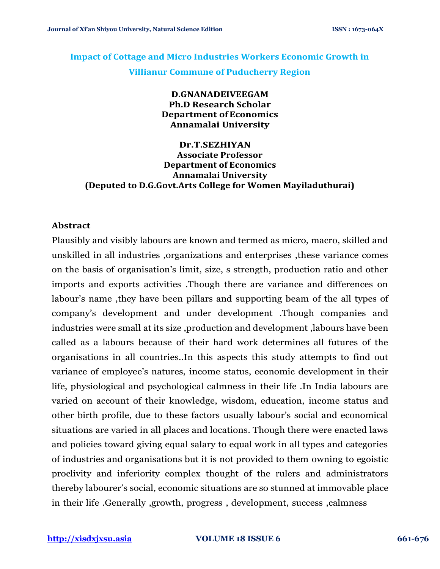## **Impact of Cottage and Micro Industries Workers Economic Growth in Villianur Commune of Puducherry Region**

### **D.GNANADEIVEEGAM Ph.D Research Scholar Department of Economics Annamalai University**

**Dr.T.SEZHIYAN Associate Professor Department of Economics Annamalai University (Deputed to D.G.Govt.Arts College for Women Mayiladuthurai)**

#### **Abstract**

Plausibly and visibly labours are known and termed as micro, macro, skilled and unskilled in all industries ,organizations and enterprises ,these variance comes on the basis of organisation's limit, size, s strength, production ratio and other imports and exports activities .Though there are variance and differences on labour's name ,they have been pillars and supporting beam of the all types of company's development and under development .Though companies and industries were small at its size ,production and development ,labours have been called as a labours because of their hard work determines all futures of the organisations in all countries..In this aspects this study attempts to find out variance of employee's natures, income status, economic development in their life, physiological and psychological calmness in their life .In India labours are varied on account of their knowledge, wisdom, education, income status and other birth profile, due to these factors usually labour's social and economical situations are varied in all places and locations. Though there were enacted laws and policies toward giving equal salary to equal work in all types and categories of industries and organisations but it is not provided to them owning to egoistic proclivity and inferiority complex thought of the rulers and administrators thereby labourer's social, economic situations are so stunned at immovable place in their life .Generally ,growth, progress , development, success ,calmness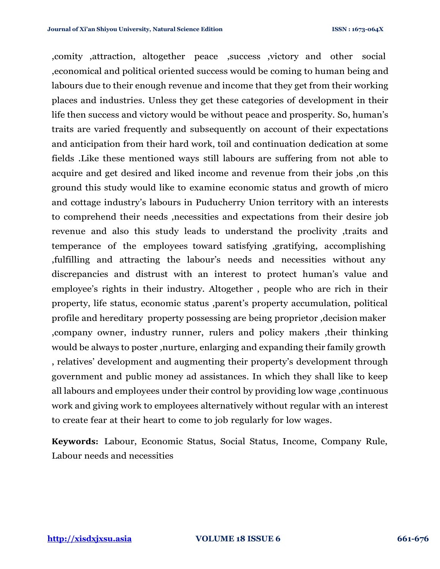,comity ,attraction, altogether peace ,success ,victory and other social ,economical and political oriented success would be coming to human being and labours due to their enough revenue and income that they get from their working places and industries. Unless they get these categories of development in their life then success and victory would be without peace and prosperity. So, human's traits are varied frequently and subsequently on account of their expectations and anticipation from their hard work, toil and continuation dedication at some fields .Like these mentioned ways still labours are suffering from not able to acquire and get desired and liked income and revenue from their jobs ,on this ground this study would like to examine economic status and growth of micro and cottage industry's labours in Puducherry Union territory with an interests to comprehend their needs ,necessities and expectations from their desire job revenue and also this study leads to understand the proclivity ,traits and temperance of the employees toward satisfying ,gratifying, accomplishing ,fulfilling and attracting the labour's needs and necessities without any discrepancies and distrust with an interest to protect human's value and employee's rights in their industry. Altogether , people who are rich in their property, life status, economic status ,parent's property accumulation, political profile and hereditary property possessing are being proprietor ,decision maker ,company owner, industry runner, rulers and policy makers ,their thinking would be always to poster ,nurture, enlarging and expanding their family growth , relatives' development and augmenting their property's development through government and public money ad assistances. In which they shall like to keep all labours and employees under their control by providing low wage ,continuous work and giving work to employees alternatively without regular with an interest to create fear at their heart to come to job regularly for low wages.

**Keywords:** Labour, Economic Status, Social Status, Income, Company Rule, Labour needs and necessities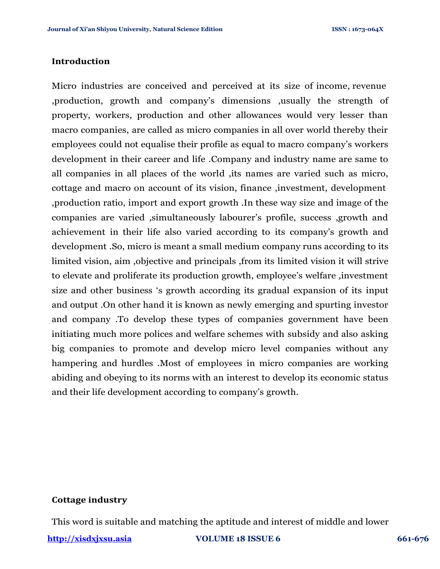#### **Introduction**

Micro industries are conceived and perceived at its size of income, revenue ,production, growth and company's dimensions ,usually the strength of property, workers, production and other allowances would very lesser than macro companies, are called as micro companies in all over world thereby their employees could not equalise their profile as equal to macro company's workers development in their career and life .Company and industry name are same to all companies in all places of the world ,its names are varied such as micro, cottage and macro on account of its vision, finance ,investment, development ,production ratio, import and export growth .In these way size and image of the companies are varied ,simultaneously labourer's profile, success ,growth and achievement in their life also varied according to its company's growth and development .So, micro is meant a small medium company runs according to its limited vision, aim ,objective and principals ,from its limited vision it will strive to elevate and proliferate its production growth, employee's welfare ,investment size and other business 's growth according its gradual expansion of its input and output .On other hand it is known as newly emerging and spurting investor and company .To develop these types of companies government have been initiating much more polices and welfare schemes with subsidy and also asking big companies to promote and develop micro level companies without any hampering and hurdles .Most of employees in micro companies are working abiding and obeying to its norms with an interest to develop its economic status and their life development according to company's growth.

#### **Cottage industry**

This word is suitable and matching the aptitude and interest of middle and lower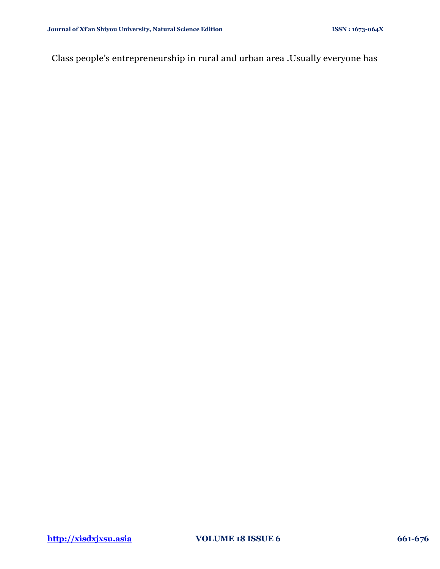Class people's entrepreneurship in rural and urban area .Usually everyone has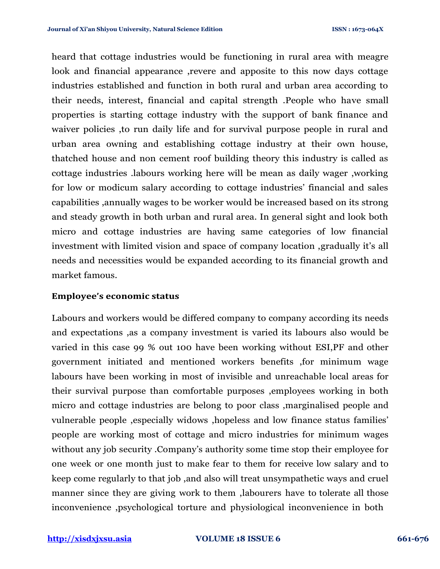heard that cottage industries would be functioning in rural area with meagre look and financial appearance ,revere and apposite to this now days cottage industries established and function in both rural and urban area according to their needs, interest, financial and capital strength .People who have small properties is starting cottage industry with the support of bank finance and waiver policies ,to run daily life and for survival purpose people in rural and urban area owning and establishing cottage industry at their own house, thatched house and non cement roof building theory this industry is called as cottage industries .labours working here will be mean as daily wager ,working for low or modicum salary according to cottage industries' financial and sales capabilities ,annually wages to be worker would be increased based on its strong and steady growth in both urban and rural area. In general sight and look both micro and cottage industries are having same categories of low financial investment with limited vision and space of company location ,gradually it's all needs and necessities would be expanded according to its financial growth and market famous.

#### **Employee's economic status**

Labours and workers would be differed company to company according its needs and expectations ,as a company investment is varied its labours also would be varied in this case 99 % out 100 have been working without ESI,PF and other government initiated and mentioned workers benefits ,for minimum wage labours have been working in most of invisible and unreachable local areas for their survival purpose than comfortable purposes ,employees working in both micro and cottage industries are belong to poor class ,marginalised people and vulnerable people ,especially widows ,hopeless and low finance status families' people are working most of cottage and micro industries for minimum wages without any job security .Company's authority some time stop their employee for one week or one month just to make fear to them for receive low salary and to keep come regularly to that job ,and also will treat unsympathetic ways and cruel manner since they are giving work to them ,labourers have to tolerate all those inconvenience ,psychological torture and physiological inconvenience in both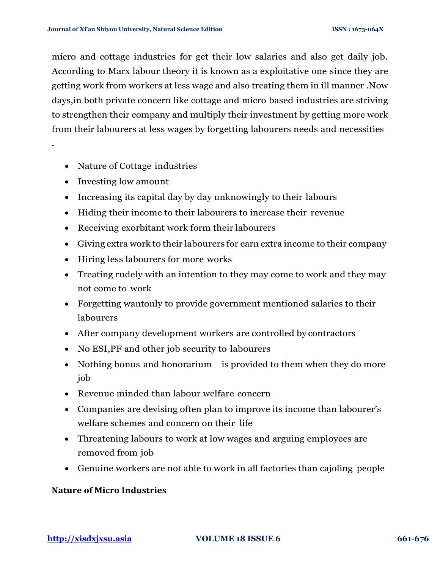micro and cottage industries for get their low salaries and also get daily job. According to Marx labour theory it is known as a exploitative one since they are getting work from workers at less wage and also treating them in ill manner .Now days,in both private concern like cottage and micro based industries are striving to strengthen their company and multiply their investment by getting more work from their labourers at less wages by forgetting labourers needs and necessities

- Nature of Cottage industries
- Investing low amount

.

- Increasing its capital day by day unknowingly to their labours
- Hiding their income to their labourers to increase their revenue
- Receiving exorbitant work form their labourers
- Giving extra work to their labourers for earn extra income to their company
- Hiring less labourers for more works
- Treating rudely with an intention to they may come to work and they may not come to work
- Forgetting wantonly to provide government mentioned salaries to their labourers
- After company development workers are controlled by contractors
- No ESI, PF and other job security to labourers
- Nothing bonus and honorarium is provided to them when they do more job
- Revenue minded than labour welfare concern
- Companies are devising often plan to improve its income than labourer's welfare schemes and concern on their life
- Threatening labours to work at low wages and arguing employees are removed from job
- Genuine workers are not able to work in all factories than cajoling people

#### **Nature of Micro Industries**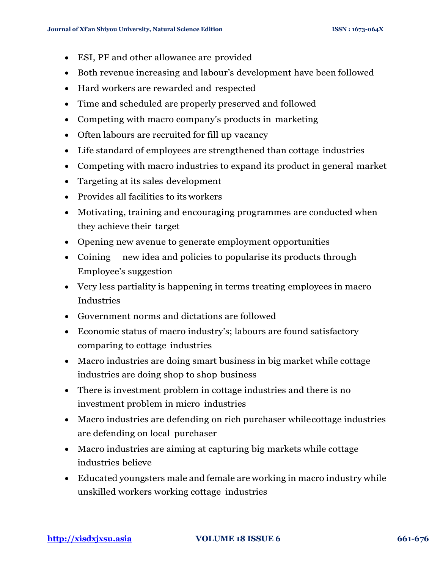- ESI, PF and other allowance are provided
- Both revenue increasing and labour's development have been followed
- Hard workers are rewarded and respected
- Time and scheduled are properly preserved and followed
- Competing with macro company's products in marketing
- Often labours are recruited for fill up vacancy
- Life standard of employees are strengthened than cottage industries
- Competing with macro industries to expand its product in general market
- Targeting at its sales development
- Provides all facilities to its workers
- Motivating, training and encouraging programmes are conducted when they achieve their target
- Opening new avenue to generate employment opportunities
- Coining new idea and policies to popularise its products through Employee's suggestion
- Very less partiality is happening in terms treating employees in macro Industries
- Government norms and dictations are followed
- Economic status of macro industry's; labours are found satisfactory comparing to cottage industries
- Macro industries are doing smart business in big market while cottage industries are doing shop to shop business
- There is investment problem in cottage industries and there is no investment problem in micro industries
- Macro industries are defending on rich purchaser whilecottage industries are defending on local purchaser
- Macro industries are aiming at capturing big markets while cottage industries believe
- Educated youngsters male and female are working in macro industry while unskilled workers working cottage industries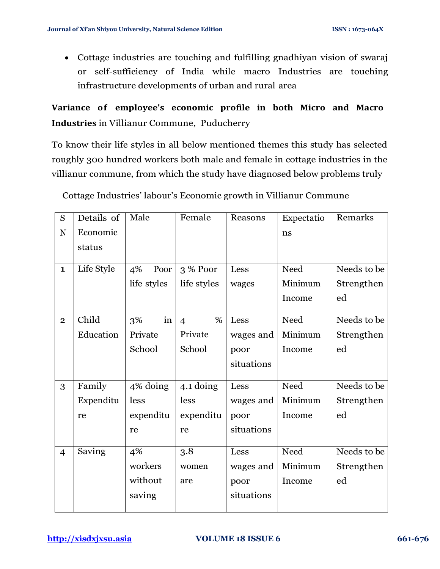• Cottage industries are touching and fulfilling gnadhiyan vision of swaraj or self-sufficiency of India while macro Industries are touching infrastructure developments of urban and rural area

**Variance of employee's economic profile in both Micro and Macro Industries** in Villianur Commune, Puducherry

To know their life styles in all below mentioned themes this study has selected roughly 300 hundred workers both male and female in cottage industries in the villianur commune, from which the study have diagnosed below problems truly

| Cottage Industries' labour's Economic growth in Villianur Commune |  |
|-------------------------------------------------------------------|--|
|                                                                   |  |

| S              | Details of | Male        | Female         | Reasons    | Expectatio | Remarks     |
|----------------|------------|-------------|----------------|------------|------------|-------------|
| N              | Economic   |             |                |            | ns         |             |
|                | status     |             |                |            |            |             |
|                |            |             |                |            |            |             |
| $\mathbf{1}$   | Life Style | 4%<br>Poor  | 3 % Poor       | Less       | Need       | Needs to be |
|                |            | life styles | life styles    | wages      | Minimum    | Strengthen  |
|                |            |             |                |            | Income     | ed          |
|                | Child      |             | %              |            |            |             |
| $\overline{2}$ |            | in<br>3%    | $\overline{4}$ | Less       | Need       | Needs to be |
|                | Education  | Private     | Private        | wages and  | Minimum    | Strengthen  |
|                |            | School      | School         | poor       | Income     | ed          |
|                |            |             |                | situations |            |             |
| 3              | Family     | 4% doing    | 4.1 doing      | Less       | Need       | Needs to be |
|                | Expenditu  | less        | less           | wages and  | Minimum    | Strengthen  |
|                | re         | expenditu   | expenditu      | poor       | Income     | ed          |
|                |            | re          | re             | situations |            |             |
| $\overline{4}$ | Saving     | 4%          | 3.8            | Less       | Need       | Needs to be |
|                |            | workers     | women          | wages and  | Minimum    | Strengthen  |
|                |            | without     | are            | poor       | Income     | ed          |
|                |            | saving      |                | situations |            |             |
|                |            |             |                |            |            |             |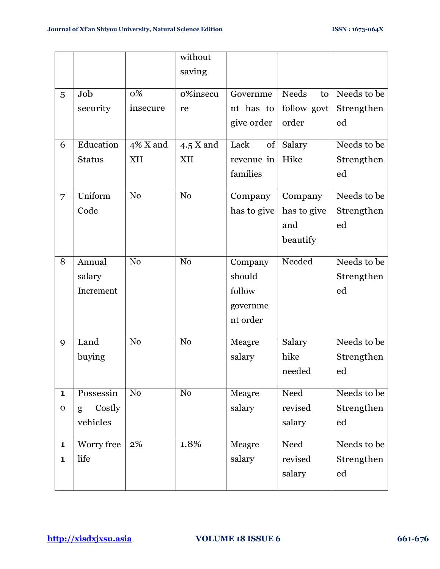|              |               |                | without        |             |             |             |
|--------------|---------------|----------------|----------------|-------------|-------------|-------------|
|              |               |                | saving         |             |             |             |
|              |               |                |                |             |             |             |
| 5            | Job           | 0%             | o%insecu       | Governme    | Needs<br>to | Needs to be |
|              | security      | insecure       | re             | nt has to   | follow govt | Strengthen  |
|              |               |                |                | give order  | order       | ed          |
| 6            | Education     | 4% X and       | $4.5$ X and    | Lack<br>of  | Salary      | Needs to be |
|              | <b>Status</b> | XII            | XII            | revenue in  | Hike        | Strengthen  |
|              |               |                |                | families    |             | ed          |
| 7            | Uniform       | N <sub>0</sub> | N <sub>o</sub> | Company     | Company     | Needs to be |
|              | Code          |                |                | has to give | has to give | Strengthen  |
|              |               |                |                |             | and         | ed          |
|              |               |                |                |             | beautify    |             |
| 8            | Annual        | N <sub>o</sub> | N <sub>o</sub> | Company     | Needed      | Needs to be |
|              | salary        |                |                | should      |             | Strengthen  |
|              | Increment     |                |                | follow      |             | ed          |
|              |               |                |                | governme    |             |             |
|              |               |                |                | nt order    |             |             |
| 9            | Land          | N <sub>0</sub> | N <sub>o</sub> | Meagre      | Salary      | Needs to be |
|              | buying        |                |                | salary      | hike        | Strengthen  |
|              |               |                |                |             | needed      | $_{\rm ed}$ |
| $\mathbf{1}$ | Possessin     | N <sub>o</sub> | N <sub>o</sub> | Meagre      | Need        | Needs to be |
| $\mathbf O$  | Costly<br>g   |                |                | salary      | revised     | Strengthen  |
|              | vehicles      |                |                |             | salary      | ed          |
|              |               |                |                |             |             |             |
| $\mathbf{1}$ | Worry free    | 2%             | 1.8%           | Meagre      | Need        | Needs to be |
| $\mathbf{1}$ | life          |                |                | salary      | revised     | Strengthen  |
|              |               |                |                |             | salary      | ed          |
|              |               |                |                |             |             |             |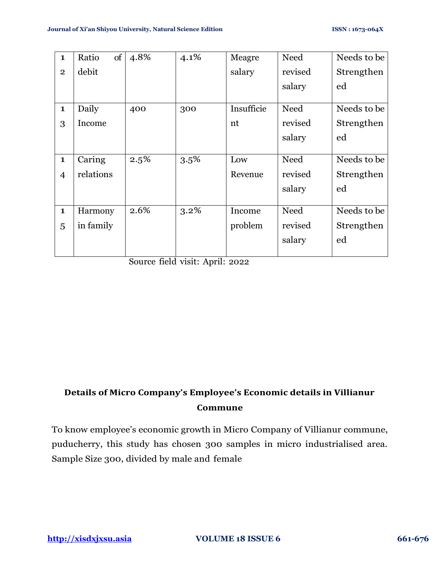| $\mathbf 1$    | <sub>of</sub><br>Ratio | 4.8% | 4.1% | Meagre     | Need    | Needs to be |
|----------------|------------------------|------|------|------------|---------|-------------|
| $\overline{2}$ | debit                  |      |      | salary     | revised | Strengthen  |
|                |                        |      |      |            | salary  | ed          |
| $\mathbf{1}$   | Daily                  | 400  | 300  | Insufficie | Need    | Needs to be |
| 3              | Income                 |      |      | nt         | revised | Strengthen  |
|                |                        |      |      |            | salary  | ed          |
|                |                        |      |      |            |         |             |
| $\mathbf{1}$   | Caring                 | 2.5% | 3.5% | Low        | Need    | Needs to be |
| $\overline{4}$ | relations              |      |      | Revenue    | revised | Strengthen  |
|                |                        |      |      |            | salary  | ed          |
|                |                        |      |      |            |         |             |
| $\mathbf 1$    | Harmony                | 2.6% | 3.2% | Income     | Need    | Needs to be |
| 5              | in family              |      |      | problem    | revised | Strengthen  |
|                |                        |      |      |            | salary  | ed          |
|                |                        |      |      |            |         |             |

Source field visit: April: 2022

# **Details of Micro Company's Employee's Economic details in Villianur Commune**

To know employee's economic growth in Micro Company of Villianur commune, puducherry, this study has chosen 300 samples in micro industrialised area. Sample Size 300, divided by male and female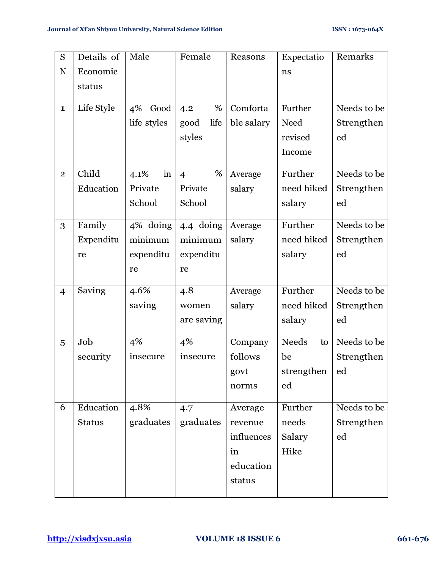| S              | Details of    | Male                        | Female              | Reasons    | Expectatio         | Remarks     |
|----------------|---------------|-----------------------------|---------------------|------------|--------------------|-------------|
| N              | Economic      |                             |                     |            | ns                 |             |
|                | status        |                             |                     |            |                    |             |
|                |               |                             |                     |            |                    |             |
| $\mathbf{1}$   | Life Style    | 4%<br>Good                  | %<br>4.2            | Comforta   | Further            | Needs to be |
|                |               | life styles                 | life<br>good        | ble salary | Need               | Strengthen  |
|                |               |                             | styles              |            | revised            | ed          |
|                |               |                             |                     |            | Income             |             |
| $\mathbf{2}$   | Child         | $\operatorname{in}$<br>4.1% | %<br>$\overline{4}$ | Average    | Further            | Needs to be |
|                | Education     | Private                     | Private             | salary     | need hiked         | Strengthen  |
|                |               | School                      | School              |            | salary             | ed          |
| 3              | Family        | 4% doing                    | 4.4 doing           | Average    | Further            | Needs to be |
|                | Expenditu     | minimum                     | minimum             | salary     | need hiked         | Strengthen  |
|                | re            | expenditu                   | expenditu           |            | salary             | ${\rm ed}$  |
|                |               | re                          | re                  |            |                    |             |
|                |               |                             |                     |            |                    |             |
| $\overline{4}$ | Saving        | $4.6\%$                     | 4.8                 | Average    | Further            | Needs to be |
|                |               | saving                      | women               | salary     | need hiked         | Strengthen  |
|                |               |                             | are saving          |            | salary             | ed          |
| 5              | Job           | 4%                          | 4%                  | Company    | <b>Needs</b><br>to | Needs to be |
|                | security      | insecure                    | insecure            | follows    | be                 | Strengthen  |
|                |               |                             |                     | govt       | strengthen         | ed          |
|                |               |                             |                     | norms      | ed                 |             |
| 6              | Education     | 4.8%                        | 4.7                 | Average    | Further            | Needs to be |
|                | <b>Status</b> | graduates                   | graduates           | revenue    | needs              | Strengthen  |
|                |               |                             |                     | influences | Salary             | ed          |
|                |               |                             |                     |            | Hike               |             |
|                |               |                             |                     | in         |                    |             |
|                |               |                             |                     | education  |                    |             |
|                |               |                             |                     | status     |                    |             |
|                |               |                             |                     |            |                    |             |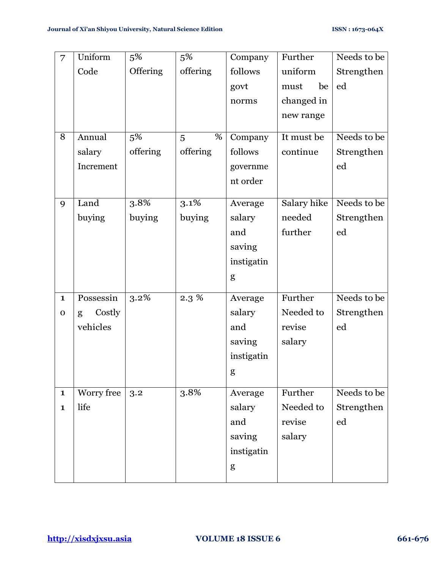| 7            | Uniform     | 5%       | 5%                           | Company    | Further     | Needs to be |
|--------------|-------------|----------|------------------------------|------------|-------------|-------------|
|              | Code        | Offering | offering                     | follows    | uniform     | Strengthen  |
|              |             |          |                              | govt       | be<br>must  | ed          |
|              |             |          |                              | norms      | changed in  |             |
|              |             |          |                              |            | new range   |             |
| 8            | Annual      |          | %                            |            |             | Needs to be |
|              |             | 5%       | 5                            | Company    | It must be  |             |
|              | salary      | offering | offering                     | follows    | continue    | Strengthen  |
|              | Increment   |          |                              | governme   |             | $_{\rm ed}$ |
|              |             |          |                              | nt order   |             |             |
| 9            | Land        | 3.8%     | 3.1%                         | Average    | Salary hike | Needs to be |
|              | buying      | buying   | buying                       | salary     | needed      | Strengthen  |
|              |             |          |                              | and        | further     | ed          |
|              |             |          |                              | saving     |             |             |
|              |             |          |                              | instigatin |             |             |
|              |             |          |                              | g          |             |             |
|              |             |          |                              |            |             |             |
| $\mathbf{1}$ | Possessin   | 3.2%     | $2.3\,\sqrt[6]{\frac{2}{5}}$ | Average    | Further     | Needs to be |
| $\mathbf 0$  | Costly<br>g |          |                              | salary     | Needed to   | Strengthen  |
|              | vehicles    |          |                              | and        | revise      | ed          |
|              |             |          |                              | saving     | salary      |             |
|              |             |          |                              | instigatin |             |             |
|              |             |          |                              | g          |             |             |
| $\mathbf{1}$ | Worry free  | 3.2      | 3.8%                         | Average    | Further     | Needs to be |
| $\mathbf{1}$ | life        |          |                              | salary     | Needed to   | Strengthen  |
|              |             |          |                              | and        | revise      | ed          |
|              |             |          |                              | saving     | salary      |             |
|              |             |          |                              | instigatin |             |             |
|              |             |          |                              | g          |             |             |
|              |             |          |                              |            |             |             |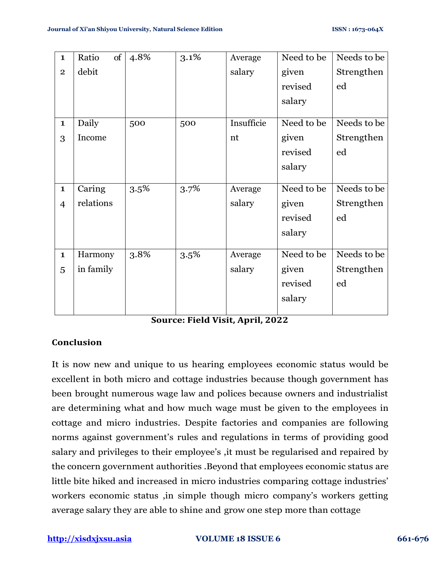| $\mathbf{1}$   | Ratio<br>of | 4.8% | 3.1% | Average    | Need to be | Needs to be |
|----------------|-------------|------|------|------------|------------|-------------|
| $\mathbf{2}$   | debit       |      |      | salary     | given      | Strengthen  |
|                |             |      |      |            | revised    | ed          |
|                |             |      |      |            | salary     |             |
| $\mathbf{1}$   | Daily       | 500  | 500  | Insufficie | Need to be | Needs to be |
|                |             |      |      |            |            |             |
| 3              | Income      |      |      | nt         | given      | Strengthen  |
|                |             |      |      |            | revised    | ed          |
|                |             |      |      |            | salary     |             |
|                |             |      |      |            |            |             |
| $\mathbf{1}$   | Caring      | 3.5% | 3.7% | Average    | Need to be | Needs to be |
| $\overline{4}$ | relations   |      |      | salary     | given      | Strengthen  |
|                |             |      |      |            | revised    | ed          |
|                |             |      |      |            | salary     |             |
|                |             |      |      |            |            |             |
| $\mathbf{1}$   | Harmony     | 3.8% | 3.5% | Average    | Need to be | Needs to be |
| 5              | in family   |      |      | salary     | given      | Strengthen  |
|                |             |      |      |            | revised    | ed          |
|                |             |      |      |            | salary     |             |
|                |             |      |      |            |            |             |

**Source: Field Visit, April, 2022**

## **Conclusion**

It is now new and unique to us hearing employees economic status would be excellent in both micro and cottage industries because though government has been brought numerous wage law and polices because owners and industrialist are determining what and how much wage must be given to the employees in cottage and micro industries. Despite factories and companies are following norms against government's rules and regulations in terms of providing good salary and privileges to their employee's ,it must be regularised and repaired by the concern government authorities .Beyond that employees economic status are little bite hiked and increased in micro industries comparing cottage industries' workers economic status ,in simple though micro company's workers getting average salary they are able to shine and grow one step more than cottage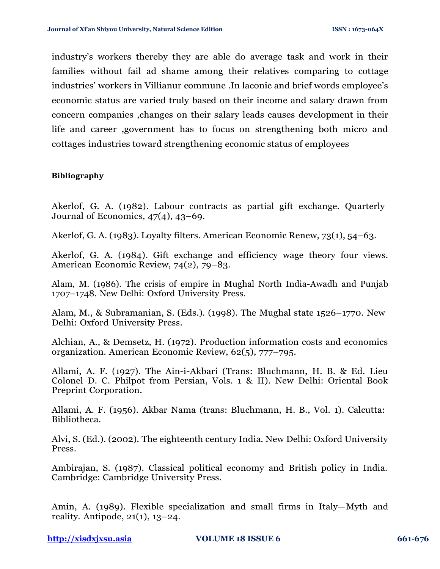industry's workers thereby they are able do average task and work in their families without fail ad shame among their relatives comparing to cottage industries' workers in Villianur commune .In laconic and brief words employee's economic status are varied truly based on their income and salary drawn from concern companies ,changes on their salary leads causes development in their life and career ,government has to focus on strengthening both micro and cottages industries toward strengthening economic status of employees

#### **Bibliography**

Akerlof, G. A. (1982). Labour contracts as partial gift exchange. Quarterly Journal of Economics, 47(4), 43–69.

Akerlof, G. A. (1983). Loyalty filters. American Economic Renew, 73(1), 54–63.

Akerlof, G. A. (1984). Gift exchange and efficiency wage theory four views. American Economic Review, 74(2), 79–83.

Alam, M. (1986). The crisis of empire in Mughal North India-Awadh and Punjab 1707–1748. New Delhi: Oxford University Press.

Alam, M., & Subramanian, S. (Eds.). (1998). The Mughal state 1526–1770. New Delhi: Oxford University Press.

Alchian, A., & Demsetz, H. (1972). Production information costs and economics organization. American Economic Review, 62(5), 777–795.

Allami, A. F. (1927). The Ain-i-Akbari (Trans: Bluchmann, H. B. & Ed. Lieu Colonel D. C. Philpot from Persian, Vols. 1 & II). New Delhi: Oriental Book Preprint Corporation.

Allami, A. F. (1956). Akbar Nama (trans: Bluchmann, H. B., Vol. 1). Calcutta: Bibliotheca.

Alvi, S. (Ed.). (2002). The eighteenth century India. New Delhi: Oxford University Press.

Ambirajan, S. (1987). Classical political economy and British policy in India. Cambridge: Cambridge University Press.

Amin, A. (1989). Flexible specialization and small firms in Italy—Myth and reality. Antipode, 21(1), 13–24.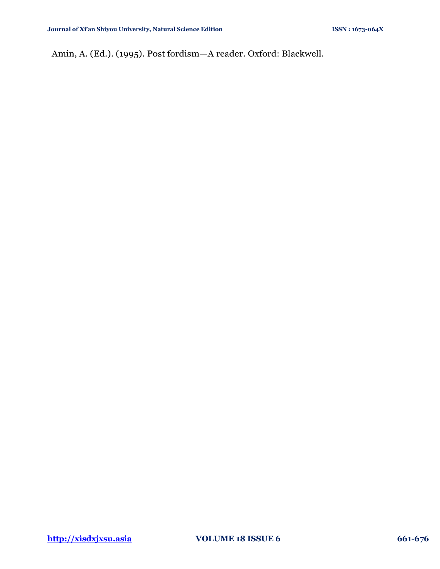Amin, A. (Ed.). (1995). Post fordism—A reader. Oxford: Blackwell.